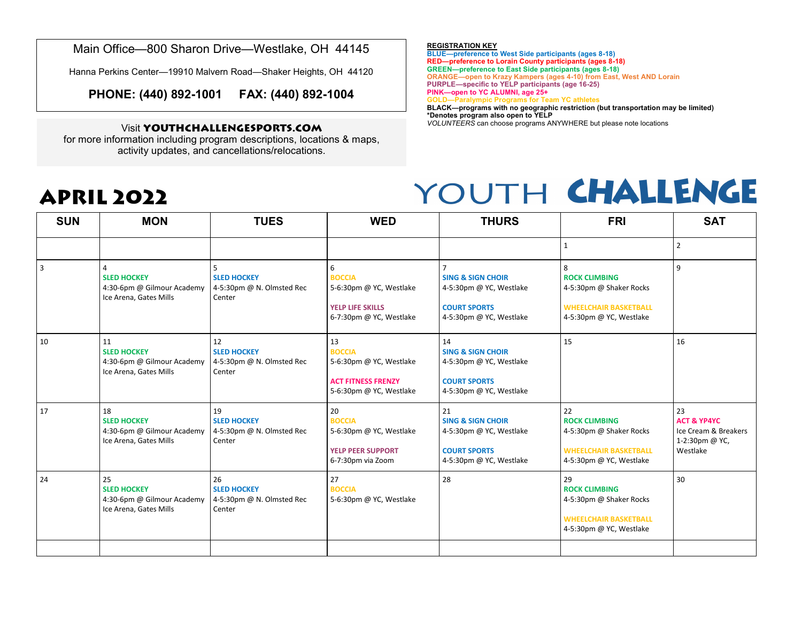Main Office—800 Sharon Drive—Westlake, OH 44145

Hanna Perkins Center—19910 Malvern Road—Shaker Heights, OH 44120

**PHONE: (440) 892-1001 FAX: (440) 892-1004**

### Visit **YOUTHCHALLENGESPORTS.COM**

for more information including program descriptions, locations & maps, activity updates, and cancellations/relocations.

**APRIL 2022**

#### **REGISTRATION KEY**

**BLUE—preference to West Side participants (ages 8-18) RED—preference to Lorain County participants (ages 8-18) GREEN—preference to East Side participants (ages 8-18) ORANGE—open to Krazy Kampers (ages 4-10) from East, West AND Lorain PURPLE—specific to YELP participants (age 16-25)**

**PINK—open to YC ALUMNI, age 25+**

**GOLD—Paralympic Programs for Team YC athletes**

**BLACK—programs with no geographic restriction (but transportation may be limited) \*Denotes program also open to YELP**

*VOLUNTEERS* can choose programs ANYWHERE but please note locations

## YOUTH CHALLENGE

| <b>SUN</b> | <b>MON</b>                                                                       | <b>TUES</b>                                                     | <b>WED</b>                                                                                             | <b>THURS</b>                                                                                                    | <b>FRI</b>                                                                                                       | <b>SAT</b>                                                                         |
|------------|----------------------------------------------------------------------------------|-----------------------------------------------------------------|--------------------------------------------------------------------------------------------------------|-----------------------------------------------------------------------------------------------------------------|------------------------------------------------------------------------------------------------------------------|------------------------------------------------------------------------------------|
|            |                                                                                  |                                                                 |                                                                                                        |                                                                                                                 |                                                                                                                  | $\overline{2}$                                                                     |
| 3          | <b>SLED HOCKEY</b><br>4:30-6pm @ Gilmour Academy<br>Ice Arena, Gates Mills       | <b>SLED HOCKEY</b><br>4-5:30pm @ N. Olmsted Rec<br>Center       | 6<br><b>BOCCIA</b><br>5-6:30pm @ YC, Westlake<br><b>YELP LIFE SKILLS</b><br>6-7:30pm @ YC, Westlake    | <b>SING &amp; SIGN CHOIR</b><br>4-5:30pm @ YC, Westlake<br><b>COURT SPORTS</b><br>4-5:30pm @ YC, Westlake       | 8<br><b>ROCK CLIMBING</b><br>4-5:30pm @ Shaker Rocks<br><b>WHEELCHAIR BASKETBALL</b><br>4-5:30pm @ YC, Westlake  | 9                                                                                  |
| 10         | 11<br><b>SLED HOCKEY</b><br>4:30-6pm @ Gilmour Academy<br>Ice Arena, Gates Mills | 12<br><b>SLED HOCKEY</b><br>4-5:30pm @ N. Olmsted Rec<br>Center | 13<br><b>BOCCIA</b><br>5-6:30pm @ YC, Westlake<br><b>ACT FITNESS FRENZY</b><br>5-6:30pm @ YC, Westlake | 14<br><b>SING &amp; SIGN CHOIR</b><br>4-5:30pm @ YC, Westlake<br><b>COURT SPORTS</b><br>4-5:30pm @ YC, Westlake | 15                                                                                                               | 16                                                                                 |
| 17         | 18<br><b>SLED HOCKEY</b><br>4:30-6pm @ Gilmour Academy<br>Ice Arena, Gates Mills | 19<br><b>SLED HOCKEY</b><br>4-5:30pm @ N. Olmsted Rec<br>Center | 20<br><b>BOCCIA</b><br>5-6:30pm @ YC, Westlake<br><b>YELP PEER SUPPORT</b><br>6-7:30pm via Zoom        | 21<br><b>SING &amp; SIGN CHOIR</b><br>4-5:30pm @ YC, Westlake<br><b>COURT SPORTS</b><br>4-5:30pm @ YC, Westlake | 22<br><b>ROCK CLIMBING</b><br>4-5:30pm @ Shaker Rocks<br><b>WHEELCHAIR BASKETBALL</b><br>4-5:30pm @ YC, Westlake | 23<br><b>ACT &amp; YP4YC</b><br>Ice Cream & Breakers<br>1-2:30pm @ YC,<br>Westlake |
| 24         | 25<br><b>SLED HOCKEY</b><br>4:30-6pm @ Gilmour Academy<br>Ice Arena, Gates Mills | 26<br><b>SLED HOCKEY</b><br>4-5:30pm @ N. Olmsted Rec<br>Center | 27<br><b>BOCCIA</b><br>5-6:30pm @ YC, Westlake                                                         | 28                                                                                                              | 29<br><b>ROCK CLIMBING</b><br>4-5:30pm @ Shaker Rocks<br><b>WHEELCHAIR BASKETBALL</b><br>4-5:30pm @ YC, Westlake | 30                                                                                 |
|            |                                                                                  |                                                                 |                                                                                                        |                                                                                                                 |                                                                                                                  |                                                                                    |